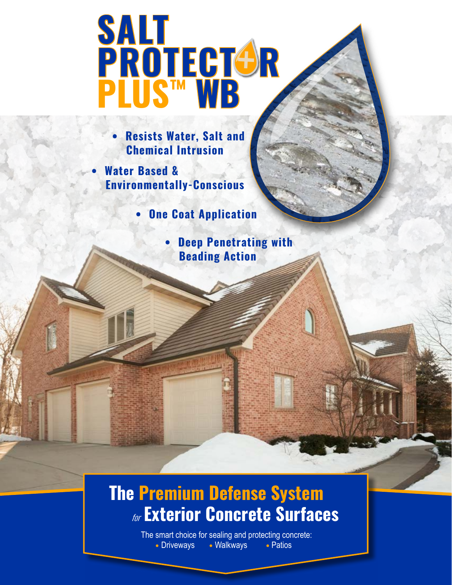# **+ SALT PROTECT&R PLUS™ WB**

**• Resists Water, Salt and Chemical Intrusion**

**• Water Based & Environmentally-Conscious**

**• One Coat Application**

**• Deep Penetrating with Beading Action**

### **The Premium Defense System** for **Exterior Concrete Surfaces**

The smart choice for sealing and protecting concrete: • Driveways • Walkways • Patios